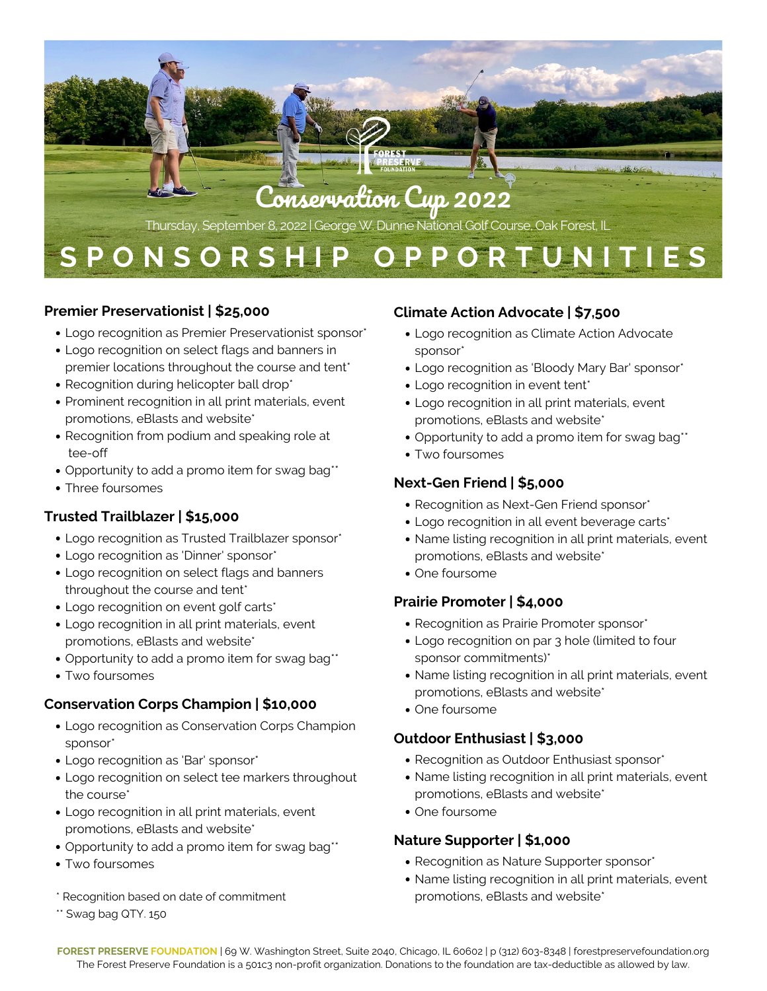

#### **Premier Preservationist | \$25,000**

- Logo recognition as Premier Preservationist sponsor\*
- Logo recognition on select flags and banners in premier locations throughout the course and tent\*
- Recognition during helicopter ball drop\*
- Prominent recognition in all print materials, event promotions, eBlasts and website\*
- Recognition from podium and speaking role at tee-off
- Opportunity to add a promo item for swag bag\*\*
- Three foursomes

## **Trusted Trailblazer | \$15,000**

- Logo recognition as Trusted Trailblazer sponsor\*
- Logo recognition as 'Dinner' sponsor\*
- Logo recognition on select flags and banners throughout the course and tent\*
- Logo recognition on event golf carts\*
- Logo recognition in all print materials, event promotions, eBlasts and website\*
- Opportunity to add a promo item for swag bag\*\*
- Two foursomes

## **Conservation Corps Champion | \$10,000**

- Logo recognition as Conservation Corps Champion sponsor\*
- Logo recognition as 'Bar' sponsor\*
- Logo recognition on select tee markers throughout the course\*
- Logo recognition in all print materials, event promotions, eBlasts and website\*
- Opportunity to add a promo item for swag bag\*\*
- Two foursomes
- \* Recognition based on date of commitment
- \*\* Swag bag QTY. 150

## **Climate Action Advocate | \$7,500**

- Logo recognition as Climate Action Advocate sponsor\*
- Logo recognition as 'Bloody Mary Bar' sponsor\*
- Logo recognition in event tent<sup>\*</sup>
- Logo recognition in all print materials, event promotions, eBlasts and website\*
- Opportunity to add a promo item for swag bag\*\*
- Two foursomes

## **Next-Gen Friend | \$5,000**

- Recognition as Next-Gen Friend sponsor\*
- Logo recognition in all event beverage carts\*
- Name listing recognition in all print materials, event promotions, eBlasts and website\*
- One foursome

## **Prairie Promoter | \$4,000**

- Recognition as Prairie Promoter sponsor\*
- Logo recognition on par 3 hole (limited to four sponsor commitments)\*
- Name listing recognition in all print materials, event promotions, eBlasts and website\*
- One foursome

## **Outdoor Enthusiast | \$3,000**

- Recognition as Outdoor Enthusiast sponsor\*
- Name listing recognition in all print materials, event promotions, eBlasts and website\*
- One foursome

## **Nature Supporter | \$1,000**

- Recognition as Nature Supporter sponsor\*
- Name listing recognition in all print materials, event promotions, eBlasts and website\*